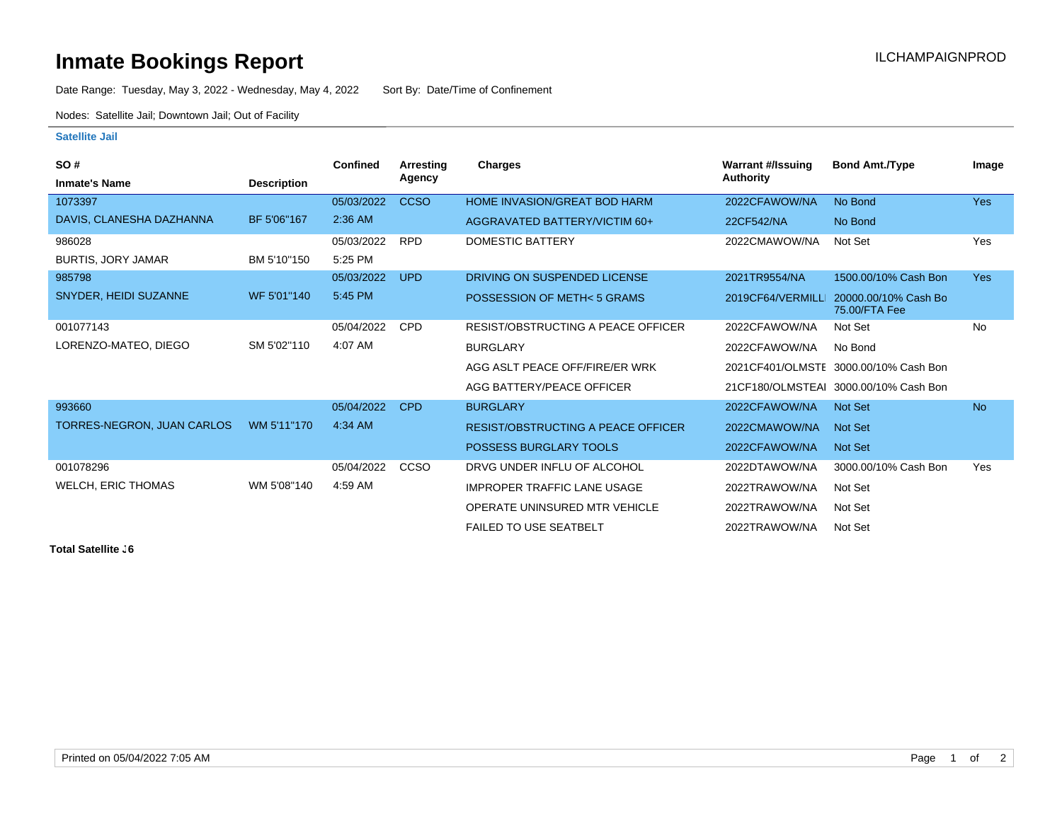## **Inmate Bookings Report Inmate Bookings Report**

Date Range: Tuesday, May 3, 2022 - Wednesday, May 4, 2022 Sort By: Date/Time of Confinement

Nodes: Satellite Jail; Downtown Jail; Out of Facility

## **Satellite Jail**

| SO#                        |                    | <b>Confined</b> | Arresting   | Charges                                   | <b>Warrant #/Issuing</b> | <b>Bond Amt./Type</b>                  | Image      |
|----------------------------|--------------------|-----------------|-------------|-------------------------------------------|--------------------------|----------------------------------------|------------|
| <b>Inmate's Name</b>       | <b>Description</b> |                 | Agency      |                                           | Authority                |                                        |            |
| 1073397                    |                    | 05/03/2022      | <b>CCSO</b> | <b>HOME INVASION/GREAT BOD HARM</b>       | 2022CFAWOW/NA            | No Bond                                | <b>Yes</b> |
| DAVIS, CLANESHA DAZHANNA   | BF 5'06"167        | 2:36 AM         |             | AGGRAVATED BATTERY/VICTIM 60+             | 22CF542/NA               | No Bond                                |            |
| 986028                     |                    | 05/03/2022      | <b>RPD</b>  | <b>DOMESTIC BATTERY</b>                   | 2022CMAWOW/NA            | Not Set                                | Yes        |
| <b>BURTIS, JORY JAMAR</b>  | BM 5'10"150        | 5:25 PM         |             |                                           |                          |                                        |            |
| 985798                     |                    | 05/03/2022      | <b>UPD</b>  | DRIVING ON SUSPENDED LICENSE              | 2021TR9554/NA            | 1500.00/10% Cash Bon                   | <b>Yes</b> |
| SNYDER, HEIDI SUZANNE      | WF 5'01"140        | 5:45 PM         |             | POSSESSION OF METH< 5 GRAMS               | 2019CF64/VERMILLI        | 20000.00/10% Cash Bo<br>75.00/FTA Fee  |            |
| 001077143                  |                    | 05/04/2022      | <b>CPD</b>  | RESIST/OBSTRUCTING A PEACE OFFICER        | 2022CFAWOW/NA            | Not Set                                | <b>No</b>  |
| LORENZO-MATEO, DIEGO       | SM 5'02"110        | 4:07 AM         |             | <b>BURGLARY</b>                           | 2022CFAWOW/NA            | No Bond                                |            |
|                            |                    |                 |             | AGG ASLT PEACE OFF/FIRE/ER WRK            |                          | 2021 CF401/OLMSTE 3000.00/10% Cash Bon |            |
|                            |                    |                 |             | AGG BATTERY/PEACE OFFICER                 |                          | 21 CF180/OLMSTEAI 3000.00/10% Cash Bon |            |
| 993660                     |                    | 05/04/2022      | <b>CPD</b>  | <b>BURGLARY</b>                           | 2022CFAWOW/NA            | Not Set                                | <b>No</b>  |
| TORRES-NEGRON, JUAN CARLOS | WM 5'11"170        | $4:34$ AM       |             | <b>RESIST/OBSTRUCTING A PEACE OFFICER</b> | 2022CMAWOW/NA            | <b>Not Set</b>                         |            |
|                            |                    |                 |             | <b>POSSESS BURGLARY TOOLS</b>             | 2022CFAWOW/NA            | <b>Not Set</b>                         |            |
| 001078296                  |                    | 05/04/2022      | CCSO        | DRVG UNDER INFLU OF ALCOHOL               | 2022DTAWOW/NA            | 3000.00/10% Cash Bon                   | Yes        |
| <b>WELCH, ERIC THOMAS</b>  | WM 5'08"140        | 4:59 AM         |             | <b>IMPROPER TRAFFIC LANE USAGE</b>        | 2022TRAWOW/NA            | Not Set                                |            |
|                            |                    |                 |             | OPERATE UNINSURED MTR VEHICLE             | 2022TRAWOW/NA            | Not Set                                |            |
|                            |                    |                 |             | <b>FAILED TO USE SEATBELT</b>             | 2022TRAWOW/NA            | Not Set                                |            |

**Total Satellite . 6**